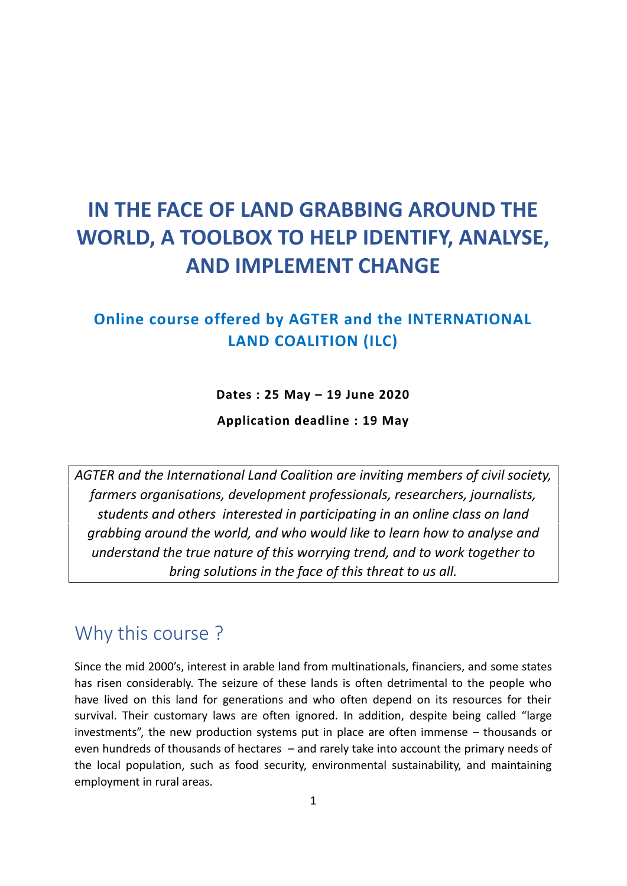# **IN THE FACE OF LAND GRABBING AROUND THE WORLD, A TOOLBOX TO HELP IDENTIFY, ANALYSE, AND IMPLEMENT CHANGE**

#### **Online course offered by AGTER and the INTERNATIONAL LAND COALITION (ILC)**

**Dates : 25 May – 19 June 2020**

**Application deadline : 19 May**

*AGTER and the International Land Coalition are inviting members of civil society, farmers organisations, development professionals, researchers, journalists, students and others interested in participating in an online class on land grabbing around the world, and who would like to learn how to analyse and understand the true nature of this worrying trend, and to work together to bring solutions in the face of this threat to us all.*

# Why this course ?

Since the mid 2000's, interest in arable land from multinationals, financiers, and some states has risen considerably. The seizure of these lands is often detrimental to the people who have lived on this land for generations and who often depend on its resources for their survival. Their customary laws are often ignored. In addition, despite being called "large investments", the new production systems put in place are often immense – thousands or even hundreds of thousands of hectares – and rarely take into account the primary needs of the local population, such as food security, environmental sustainability, and maintaining employment in rural areas.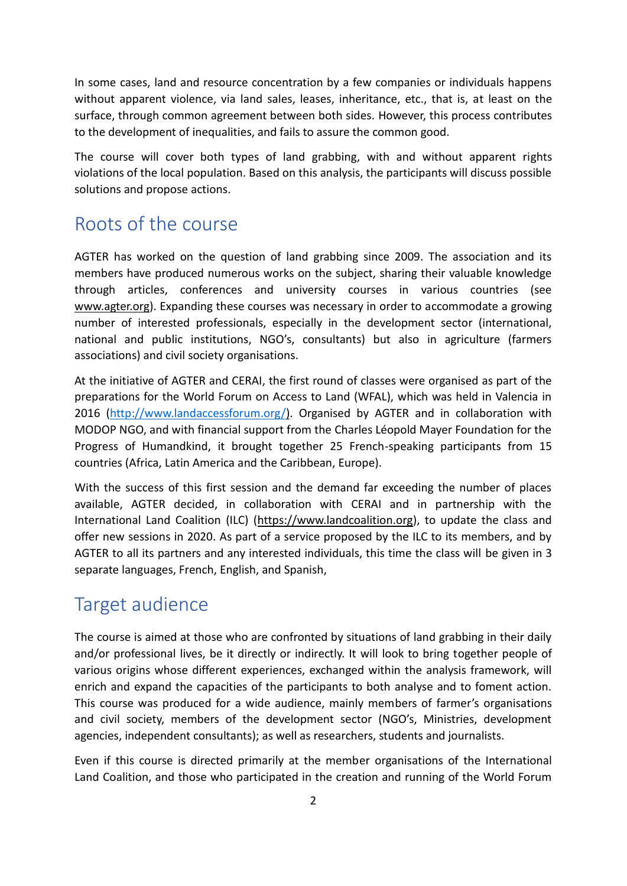In some cases, land and resource concentration by a few companies or individuals happens without apparent violence, via land sales, leases, inheritance, etc., that is, at least on the surface, through common agreement between both sides. However, this process contributes to the development of inequalities, and fails to assure the common good.

The course will cover both types of land grabbing, with and without apparent rights violations of the local population. Based on this analysis, the participants will discuss possible solutions and propose actions.

#### Roots of the course

AGTER has worked on the question of land grabbing since 2009. The association and its members have produced numerous works on the subject, sharing their valuable knowledge through articles, conferences and university courses in various countries (see [www.agter.org](http://www.agter.org/)). Expanding these courses was necessary in order to accommodate a growing number of interested professionals, especially in the development sector (international, national and public institutions, NGO's, consultants) but also in agriculture (farmers associations) and civil society organisations.

At the initiative of AGTER and CERAI, the first round of classes were organised as part of the preparations for the World Forum on Access to Land (WFAL), which was held in Valencia in 2016 [\(http://www.landaccessforum.org/](http://www.landaccessforum.org/)). Organised by AGTER and in collaboration with MODOP NGO, and with financial support from the Charles Léopold Mayer Foundation for the Progress of Humandkind, it brought together 25 French-speaking participants from 15 countries (Africa, Latin America and the Caribbean, Europe).

With the success of this first session and the demand far exceeding the number of places available, AGTER decided, in collaboration with CERAI and in partnership with the International Land Coalition (ILC) [\(https://www.landcoalition.org](https://www.landcoalition.org/)), to update the class and offer new sessions in 2020. As part of a service proposed by the ILC to its members, and by AGTER to all its partners and any interested individuals, this time the class will be given in 3 separate languages, French, English, and Spanish,

#### Target audience

The course is aimed at those who are confronted by situations of land grabbing in their daily and/or professional lives, be it directly or indirectly. It will look to bring together people of various origins whose different experiences, exchanged within the analysis framework, will enrich and expand the capacities of the participants to both analyse and to foment action. This course was produced for a wide audience, mainly members of farmer's organisations and civil society, members of the development sector (NGO's, Ministries, development agencies, independent consultants); as well as researchers, students and journalists.

Even if this course is directed primarily at the member organisations of the International Land Coalition, and those who participated in the creation and running of the World Forum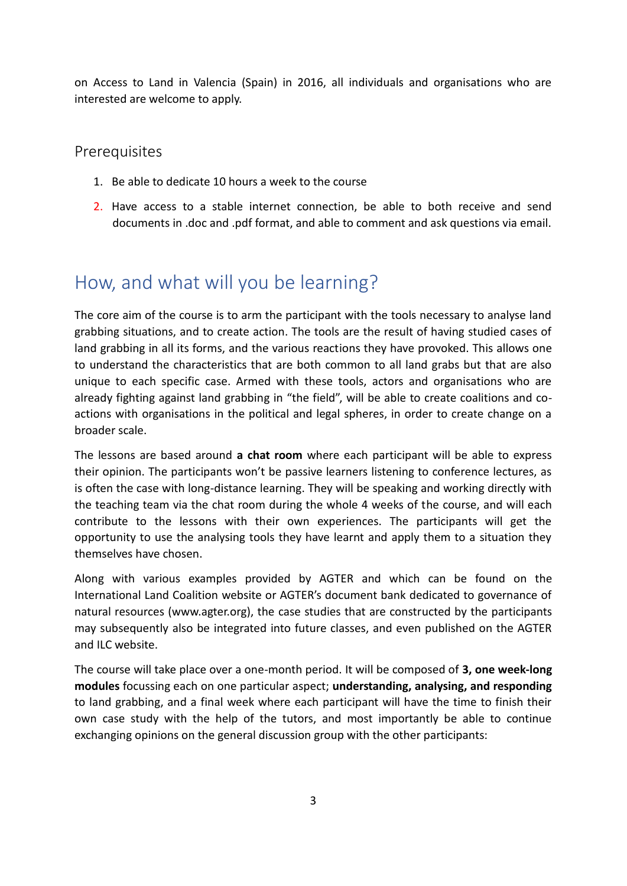on Access to Land in Valencia (Spain) in 2016, all individuals and organisations who are interested are welcome to apply.

Prerequisites

- 1. Be able to dedicate 10 hours a week to the course
- 2. Have access to a stable internet connection, be able to both receive and send documents in .doc and .pdf format, and able to comment and ask questions via email.

# How, and what will you be learning?

The core aim of the course is to arm the participant with the tools necessary to analyse land grabbing situations, and to create action. The tools are the result of having studied cases of land grabbing in all its forms, and the various reactions they have provoked. This allows one to understand the characteristics that are both common to all land grabs but that are also unique to each specific case. Armed with these tools, actors and organisations who are already fighting against land grabbing in "the field", will be able to create coalitions and co actions with organisations in the political and legal spheres, in order to create change on a broader scale.

The lessons are based around **a chat room** where each participant will be able to express their opinion. The participants won't be passive learners listening to conference lectures, as is often the case with long-distance learning. They will be speaking and working directly with the teaching team via the chat room during the whole 4 weeks of the course, and will each contribute to the lessons with their own experiences. The participants will get the opportunity to use the analysing tools they have learnt and apply them to a situation they themselves have chosen.

Along with various examples provided by AGTER and which can be found on the International Land Coalition website or AGTER's document bank dedicated to governance of natural resources (www.agter.org), the case studies that are constructed by the participants may subsequently also be integrated into future classes, and even published on the AGTER and ILC website.

The course will take place over a one-month period. It will be composed of **3, one week-long modules** focussing each on one particular aspect; **understanding, analysing, and responding** to land grabbing, and a final week where each participant will have the time to finish their own case study with the help of the tutors, and most importantly be able to continue exchanging opinions on the general discussion group with the other participants: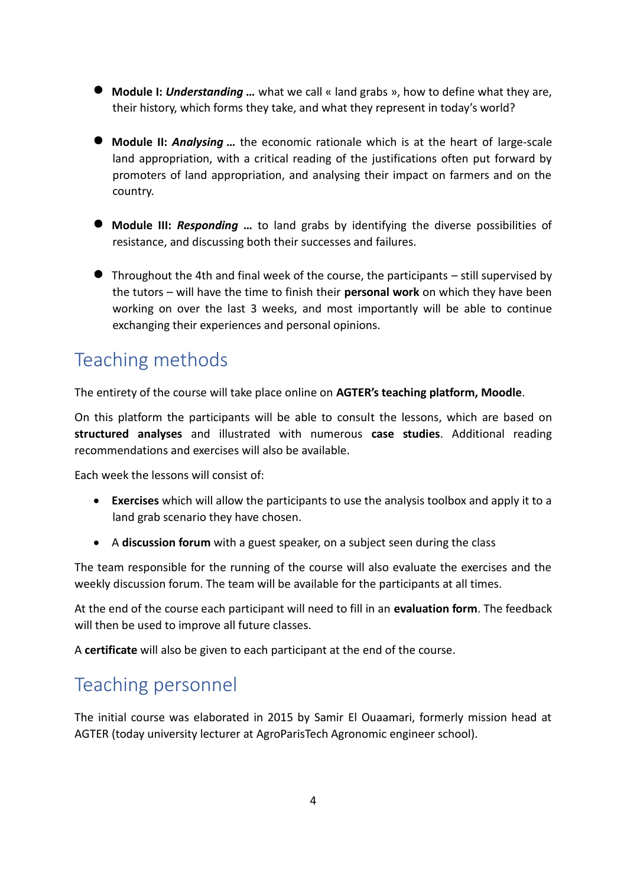- **Module I:** *Understanding …* what we call « land grabs », how to define what they are, their history, which forms they take, and what they represent in today's world?
- **Module II:** *Analysing* **…** the economic rationale which is at the heart of large-scale land appropriation, with a critical reading of the justifications often put forward by promoters of land appropriation, and analysing their impact on farmers and on the country.
- **Module III:** *Responding* **…** to land grabs by identifying the diverse possibilities of resistance, and discussing both their successes and failures.
- Throughout the 4th and final week of the course, the participants still supervised by the tutors – will have the time to finish their **personal work** on which they have been working on over the last 3 weeks, and most importantly will be able to continue exchanging their experiences and personal opinions.

## Teaching methods

The entirety of the course will take place online on **AGTER's teaching platform, Moodle**.

On this platform the participants will be able to consult the lessons, which are based on **structured analyses** and illustrated with numerous **case studies**. Additional reading recommendations and exercises will also be available.

Each week the lessons will consist of:

- **Exercises** which will allow the participants to use the analysis toolbox and apply it to a land grab scenario they have chosen.
- A **discussion forum** with a guest speaker, on a subject seen during the class

The team responsible for the running of the course will also evaluate the exercises and the weekly discussion forum. The team will be available for the participants at all times.

At the end of the course each participant will need to fill in an **evaluation form**. The feedback will then be used to improve all future classes.

A **certificate** will also be given to each participant at the end of the course.

## Teaching personnel

The initial course was elaborated in 2015 by Samir El Ouaamari, formerly mission head at AGTER (today university lecturer at AgroParisTech Agronomic engineer school).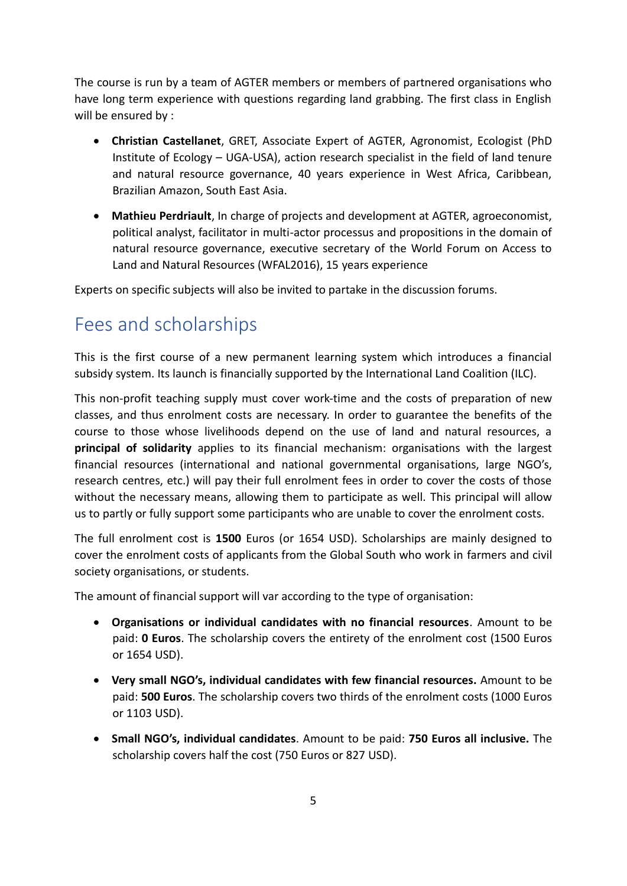The course is run by a team of AGTER members or members of partnered organisations who have long term experience with questions regarding land grabbing. The first class in English will be ensured by :

- **Christian Castellanet**, GRET, Associate Expert of AGTER, Agronomist, Ecologist (PhD Institute of Ecology – UGA-USA), action research specialist in the field of land tenure and natural resource governance, 40 years experience in West Africa, Caribbean, Brazilian Amazon, South East Asia.
- **Mathieu Perdriault**, In charge of projects and development at AGTER, agroeconomist, political analyst, facilitator in multi-actor processus and propositions in the domain of natural resource governance, executive secretary of the World Forum on Access to Land and Natural Resources (WFAL2016), 15 years experience

Experts on specific subjects will also be invited to partake in the discussion forums.

### Fees and scholarships

This is the first course of a new permanent learning system which introduces a financial subsidy system. Its launch is financially supported by the International Land Coalition (ILC).

This non-profit teaching supply must cover work-time and the costs of preparation of new classes, and thus enrolment costs are necessary. In order to guarantee the benefits of the course to those whose livelihoods depend on the use of land and natural resources, a **principal of solidarity** applies to its financial mechanism: organisations with the largest financial resources (international and national governmental organisations, large NGO's, research centres, etc.) will pay their full enrolment fees in order to cover the costs of those without the necessary means, allowing them to participate as well. This principal will allow us to partly or fully support some participants who are unable to cover the enrolment costs.

The full enrolment cost is **1500** Euros (or 1654 USD). Scholarships are mainly designed to cover the enrolment costs of applicants from the Global South who work in farmers and civil society organisations, or students.

The amount of financial support will var according to the type of organisation:

- **Organisations or individual candidates with no financial resources**. Amount to be paid: **0 Euros**. The scholarship covers the entirety of the enrolment cost (1500 Euros or 1654 USD).
- **Very small NGO's, individual candidates with few financial resources.** Amount to be paid: **500 Euros**. The scholarship covers two thirds of the enrolment costs (1000 Euros or 1103 USD).
- **Small NGO's, individual candidates**. Amount to be paid: **750 Euros all inclusive.** The scholarship covers half the cost (750 Euros or 827 USD).